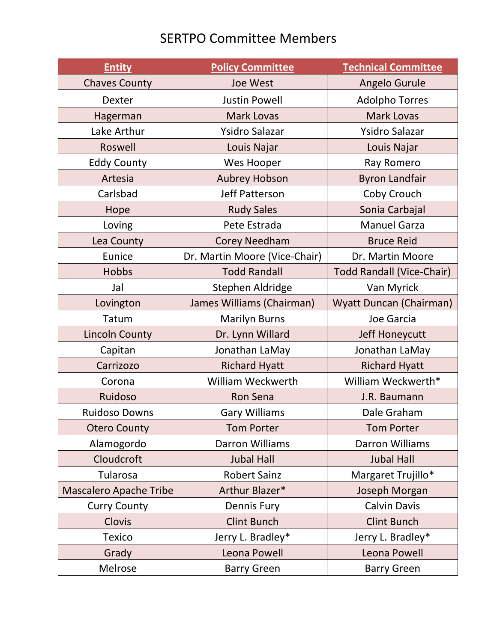## SERTPO Committee Members

| <b>Entity</b>                 | <b>Policy Committee</b>       | <b>Technical Committee</b>       |
|-------------------------------|-------------------------------|----------------------------------|
| <b>Chaves County</b>          | <b>Joe West</b>               | Angelo Gurule                    |
| Dexter                        | <b>Justin Powell</b>          | <b>Adolpho Torres</b>            |
| Hagerman                      | <b>Mark Lovas</b>             | <b>Mark Lovas</b>                |
| Lake Arthur                   | <b>Ysidro Salazar</b>         | <b>Ysidro Salazar</b>            |
| Roswell                       | Louis Najar                   | Louis Najar                      |
| <b>Eddy County</b>            | Wes Hooper                    | Ray Romero                       |
| Artesia                       | <b>Aubrey Hobson</b>          | <b>Byron Landfair</b>            |
| Carlsbad                      | <b>Jeff Patterson</b>         | Coby Crouch                      |
| Hope                          | <b>Rudy Sales</b>             | Sonia Carbajal                   |
| Loving                        | Pete Estrada                  | <b>Manuel Garza</b>              |
| Lea County                    | <b>Corey Needham</b>          | <b>Bruce Reid</b>                |
| Eunice                        | Dr. Martin Moore (Vice-Chair) | Dr. Martin Moore                 |
| <b>Hobbs</b>                  | <b>Todd Randall</b>           | <b>Todd Randall (Vice-Chair)</b> |
| Jal                           | Stephen Aldridge              | Van Myrick                       |
| Lovington                     | James Williams (Chairman)     | <b>Wyatt Duncan (Chairman)</b>   |
| Tatum                         | <b>Marilyn Burns</b>          | Joe Garcia                       |
| <b>Lincoln County</b>         | Dr. Lynn Willard              | Jeff Honeycutt                   |
| Capitan                       | Jonathan LaMay                | Jonathan LaMay                   |
| Carrizozo                     | <b>Richard Hyatt</b>          | <b>Richard Hyatt</b>             |
| Corona                        | <b>William Weckwerth</b>      | William Weckwerth*               |
| Ruidoso                       | Ron Sena                      | J.R. Baumann                     |
| <b>Ruidoso Downs</b>          | <b>Gary Williams</b>          | Dale Graham                      |
| <b>Otero County</b>           | <b>Tom Porter</b>             | <b>Tom Porter</b>                |
| Alamogordo                    | <b>Darron Williams</b>        | <b>Darron Williams</b>           |
| Cloudcroft                    | <b>Jubal Hall</b>             | <b>Jubal Hall</b>                |
| Tularosa                      | <b>Robert Sainz</b>           | Margaret Trujillo*               |
| <b>Mascalero Apache Tribe</b> | Arthur Blazer*                | Joseph Morgan                    |
| <b>Curry County</b>           | <b>Dennis Fury</b>            | <b>Calvin Davis</b>              |
| Clovis                        | <b>Clint Bunch</b>            | <b>Clint Bunch</b>               |
| <b>Texico</b>                 | Jerry L. Bradley*             | Jerry L. Bradley*                |
| Grady                         | Leona Powell                  | Leona Powell                     |
| Melrose                       | <b>Barry Green</b>            | <b>Barry Green</b>               |